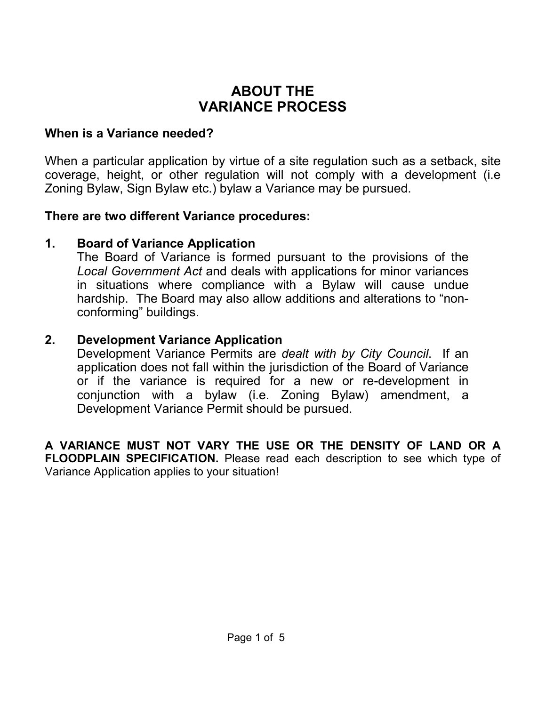## **ABOUT THE VARIANCE PROCESS**

### **When is a Variance needed?**

When a particular application by virtue of a site regulation such as a setback, site coverage, height, or other regulation will not comply with a development (i.e Zoning Bylaw, Sign Bylaw etc.) bylaw a Variance may be pursued.

### **There are two different Variance procedures:**

### **1. Board of Variance Application**

The Board of Variance is formed pursuant to the provisions of the *Local Government Act* and deals with applications for minor variances in situations where compliance with a Bylaw will cause undue hardship. The Board may also allow additions and alterations to "nonconforming" buildings.

### **2. Development Variance Application**

Development Variance Permits are *dealt with by City Council*. If an application does not fall within the jurisdiction of the Board of Variance or if the variance is required for a new or re-development in conjunction with a bylaw (i.e. Zoning Bylaw) amendment, a Development Variance Permit should be pursued.

**A VARIANCE MUST NOT VARY THE USE OR THE DENSITY OF LAND OR A FLOODPLAIN SPECIFICATION.** Please read each description to see which type of Variance Application applies to your situation!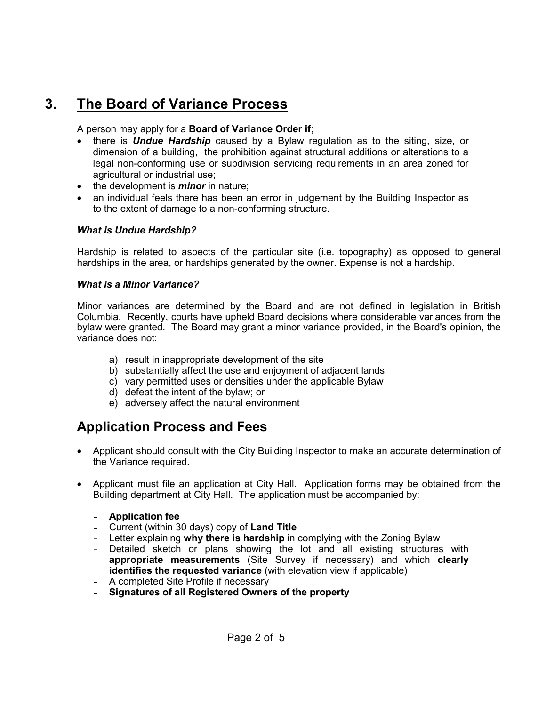# **3. The Board of Variance Process**

### A person may apply for a **Board of Variance Order if;**

- there is *Undue Hardship* caused by a Bylaw regulation as to the siting, size, or dimension of a building, the prohibition against structural additions or alterations to a legal non-conforming use or subdivision servicing requirements in an area zoned for agricultural or industrial use;
- the development is *minor* in nature;
- an individual feels there has been an error in judgement by the Building Inspector as to the extent of damage to a non-conforming structure.

### *What is Undue Hardship?*

Hardship is related to aspects of the particular site (i.e. topography) as opposed to general hardships in the area, or hardships generated by the owner. Expense is not a hardship.

### *What is a Minor Variance?*

Minor variances are determined by the Board and are not defined in legislation in British Columbia. Recently, courts have upheld Board decisions where considerable variances from the bylaw were granted. The Board may grant a minor variance provided, in the Board's opinion, the variance does not:

- a) result in inappropriate development of the site
- b) substantially affect the use and enjoyment of adjacent lands
- c) vary permitted uses or densities under the applicable Bylaw
- d) defeat the intent of the bylaw; or
- e) adversely affect the natural environment

## **Application Process and Fees**

- Applicant should consult with the City Building Inspector to make an accurate determination of the Variance required.
- Applicant must file an application at City Hall. Application forms may be obtained from the Building department at City Hall. The application must be accompanied by:
	- **- Application fee**
	- **-** Current (within 30 days) copy of **Land Title**
	- **-** Letter explaining **why there is hardship** in complying with the Zoning Bylaw
	- **-** Detailed sketch or plans showing the lot and all existing structures with **appropriate measurements** (Site Survey if necessary) and which **clearly identifies the requested variance** (with elevation view if applicable)
	- **-** A completed Site Profile if necessary
	- **- Signatures of all Registered Owners of the property**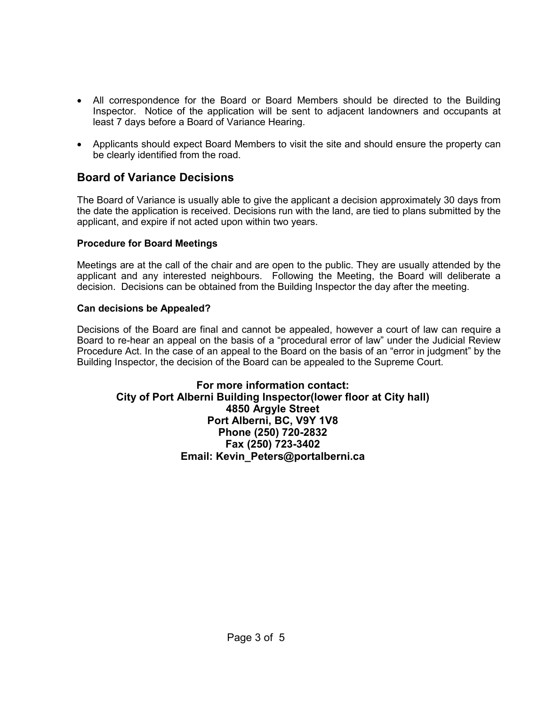- All correspondence for the Board or Board Members should be directed to the Building Inspector. Notice of the application will be sent to adjacent landowners and occupants at least 7 days before a Board of Variance Hearing.
- Applicants should expect Board Members to visit the site and should ensure the property can be clearly identified from the road.

### **Board of Variance Decisions**

The Board of Variance is usually able to give the applicant a decision approximately 30 days from the date the application is received. Decisions run with the land, are tied to plans submitted by the applicant, and expire if not acted upon within two years.

#### **Procedure for Board Meetings**

Meetings are at the call of the chair and are open to the public. They are usually attended by the applicant and any interested neighbours. Following the Meeting, the Board will deliberate a decision. Decisions can be obtained from the Building Inspector the day after the meeting.

#### **Can decisions be Appealed?**

Decisions of the Board are final and cannot be appealed, however a court of law can require a Board to re-hear an appeal on the basis of a "procedural error of law" under the Judicial Review Procedure Act. In the case of an appeal to the Board on the basis of an "error in judgment" by the Building Inspector, the decision of the Board can be appealed to the Supreme Court.

### **For more information contact: City of Port Alberni Building Inspector(lower floor at City hall) 4850 Argyle Street Port Alberni, BC, V9Y 1V8 Phone (250) 720-2832 Fax (250) 723-3402 Email: Kevin\_Peters@portalberni.ca**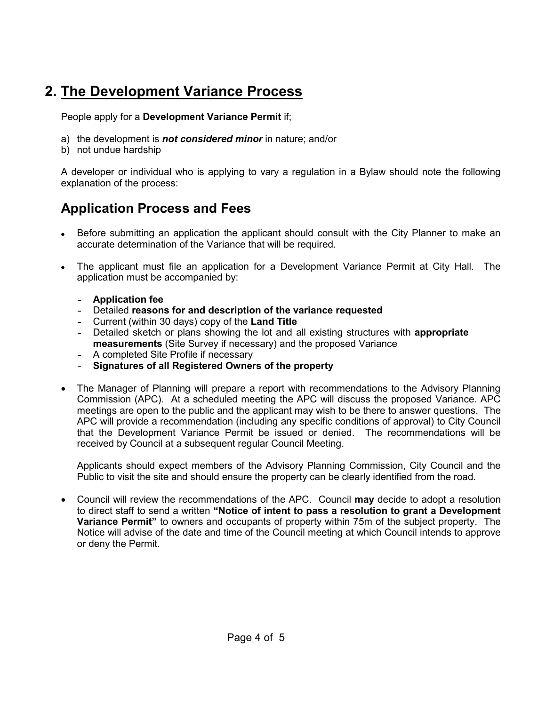# **2. The Development Variance Process**

People apply for a **Development Variance Permit** if;

- a) the development is *not considered minor* in nature; and/or
- b) not undue hardship

A developer or individual who is applying to vary a regulation in a Bylaw should note the following explanation of the process:

# **Application Process and Fees**

- Before submitting an application the applicant should consult with the City Planner to make an accurate determination of the Variance that will be required.
- The applicant must file an application for a Development Variance Permit at City Hall. The application must be accompanied by:
	- **- Application fee**
	- **-** Detailed **reasons for and description of the variance requested**
	- **-** Current (within 30 days) copy of the **Land Title**
	- **-** Detailed sketch or plans showing the lot and all existing structures with **appropriate measurements** (Site Survey if necessary) and the proposed Variance
	- **-** A completed Site Profile if necessary
	- **- Signatures of all Registered Owners of the property**
- The Manager of Planning will prepare a report with recommendations to the Advisory Planning Commission (APC). At a scheduled meeting the APC will discuss the proposed Variance. APC meetings are open to the public and the applicant may wish to be there to answer questions. The APC will provide a recommendation (including any specific conditions of approval) to City Council that the Development Variance Permit be issued or denied. The recommendations will be received by Council at a subsequent regular Council Meeting.

Applicants should expect members of the Advisory Planning Commission, City Council and the Public to visit the site and should ensure the property can be clearly identified from the road.

• Council will review the recommendations of the APC. Council **may** decide to adopt a resolution to direct staff to send a written **"Notice of intent to pass a resolution to grant a Development Variance Permit"** to owners and occupants of property within 75m of the subject property. The Notice will advise of the date and time of the Council meeting at which Council intends to approve or deny the Permit.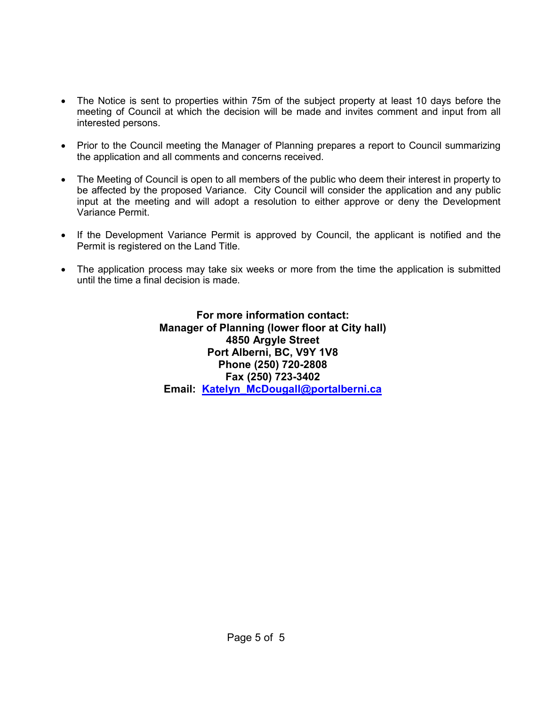- The Notice is sent to properties within 75m of the subject property at least 10 days before the meeting of Council at which the decision will be made and invites comment and input from all interested persons.
- Prior to the Council meeting the Manager of Planning prepares a report to Council summarizing the application and all comments and concerns received.
- The Meeting of Council is open to all members of the public who deem their interest in property to be affected by the proposed Variance. City Council will consider the application and any public input at the meeting and will adopt a resolution to either approve or deny the Development Variance Permit.
- If the Development Variance Permit is approved by Council, the applicant is notified and the Permit is registered on the Land Title.
- The application process may take six weeks or more from the time the application is submitted until the time a final decision is made.

**For more information contact: Manager of Planning (lower floor at City hall) 4850 Argyle Street Port Alberni, BC, V9Y 1V8 Phone (250) 720-2808 Fax (250) 723-3402 Email: [Katelyn\\_McDougall@portalberni.ca](mailto:Katelyn_McDougall@portalberni.ca)**